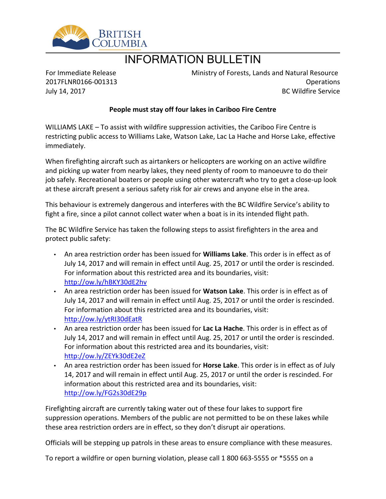

## INFORMATION BULLETIN

For Immediate Release 2017FLNR0166-001313 July 14, 2017

Ministry of Forests, Lands and Natural Resource Operations BC Wildfire Service

## **People must stay off four lakes in Cariboo Fire Centre**

WILLIAMS LAKE  $-$  To assist with wildfire suppression activities, the Cariboo Fire Centre is restricting public access to Williams Lake, Watson Lake, Lac La Hache and Horse Lake, effective immediately.

When firefighting aircraft such as airtankers or helicopters are working on an active wildfire and picking up water from nearby lakes, they need plenty of room to manoeuvre to do their job safely. Recreational boaters or people using other watercraft who try to get a close-up look at these aircraft present a serious safety risk for air crews and anyone else in the area.

This behaviour is extremely dangerous and interferes with the BC Wildfire Service's ability to fight a fire, since a pilot cannot collect water when a boat is in its intended flight path.

The BC Wildfire Service has taken the following steps to assist firefighters in the area and protect public safety:

- An area restriction order has been issued for **Williams Lake**. This order is in effect as of July 14, 2017 and will remain in effect until Aug. 25, 2017 or until the order is rescinded. For information about this restricted area and its boundaries, visit: <http://ow.ly/hBKY30dE2hv>
- An area restriction order has been issued for **Watson Lake**. This order is in effect as of July 14, 2017 and will remain in effect until Aug. 25, 2017 or until the order is rescinded. For information about this restricted area and its boundaries, visit: <http://ow.ly/ytRI30dEatR>
- An area restriction order has been issued for **Lac La Hache**. This order is in effect as of July 14, 2017 and will remain in effect until Aug. 25, 2017 or until the order is rescinded. For information about this restricted area and its boundaries, visit: <http://ow.ly/ZEYk30dE2eZ>
- An area restriction order has been issued for **Horse Lake**. This order is in effect as of July 14, 2017 and will remain in effect until Aug. 25, 2017 or until the order is rescinded. For information about this restricted area and its boundaries, visit: <http://ow.ly/FG2s30dE29p>

Firefighting aircraft are currently taking water out of these four lakes to support fire suppression operations. Members of the public are not permitted to be on these lakes while these area restriction orders are in effect, so they don't disrupt air operations.

Officials will be stepping up patrols in these areas to ensure compliance with these measures.

To report a wildfire or open burning violation, please call 1 800 663-5555 or \*5555 on a